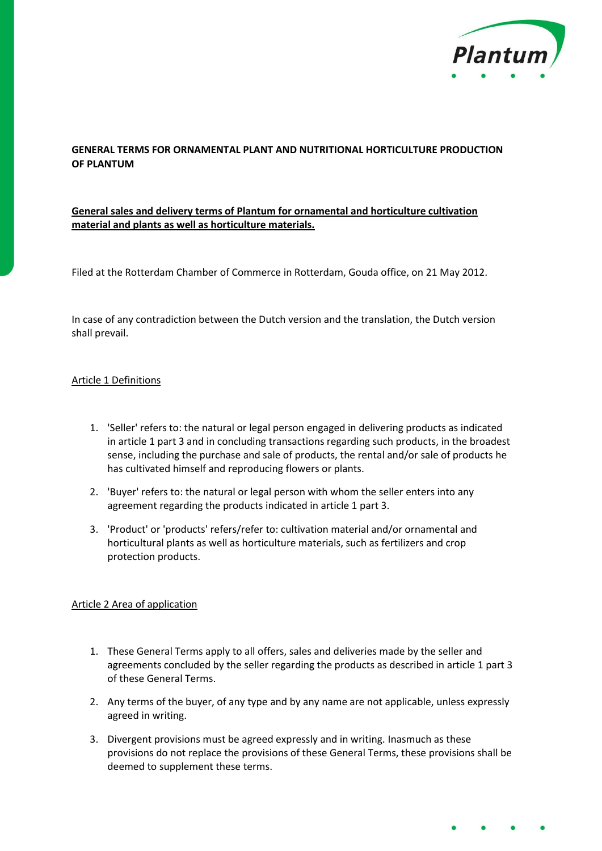

# **GENERAL TERMS FOR ORNAMENTAL PLANT AND NUTRITIONAL HORTICULTURE PRODUCTION OF PLANTUM**

# **General sales and delivery terms of Plantum for ornamental and horticulture cultivation material and plants as well as horticulture materials.**

Filed at the Rotterdam Chamber of Commerce in Rotterdam, Gouda office, on 21 May 2012.

In case of any contradiction between the Dutch version and the translation, the Dutch version shall prevail.

## Article 1 Definitions

- 1. 'Seller' refers to: the natural or legal person engaged in delivering products as indicated in article 1 part 3 and in concluding transactions regarding such products, in the broadest sense, including the purchase and sale of products, the rental and/or sale of products he has cultivated himself and reproducing flowers or plants.
- 2. 'Buyer' refers to: the natural or legal person with whom the seller enters into any agreement regarding the products indicated in article 1 part 3.
- 3. 'Product' or 'products' refers/refer to: cultivation material and/or ornamental and horticultural plants as well as horticulture materials, such as fertilizers and crop protection products.

#### Article 2 Area of application

- 1. These General Terms apply to all offers, sales and deliveries made by the seller and agreements concluded by the seller regarding the products as described in article 1 part 3 of these General Terms.
- 2. Any terms of the buyer, of any type and by any name are not applicable, unless expressly agreed in writing.
- 3. Divergent provisions must be agreed expressly and in writing. Inasmuch as these provisions do not replace the provisions of these General Terms, these provisions shall be deemed to supplement these terms.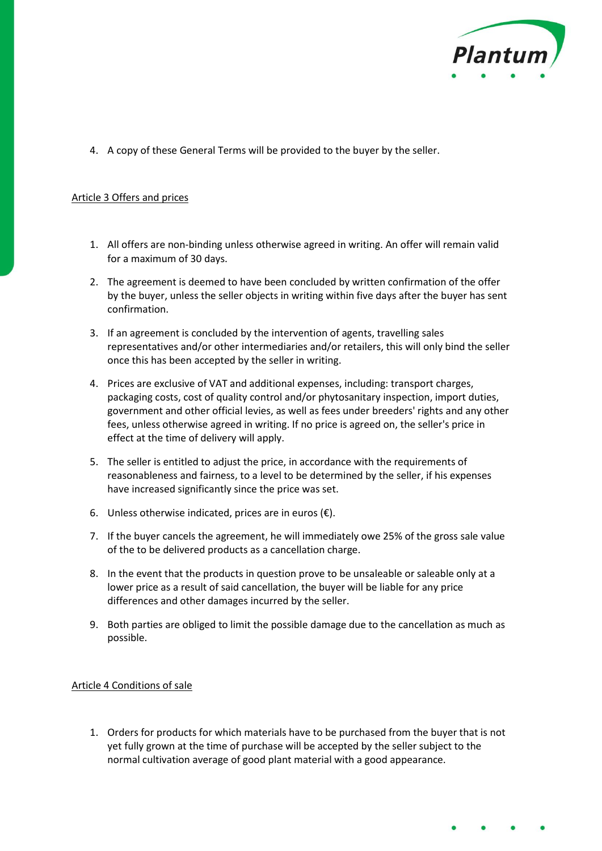

4. A copy of these General Terms will be provided to the buyer by the seller.

#### Article 3 Offers and prices

- 1. All offers are non-binding unless otherwise agreed in writing. An offer will remain valid for a maximum of 30 days.
- 2. The agreement is deemed to have been concluded by written confirmation of the offer by the buyer, unless the seller objects in writing within five days after the buyer has sent confirmation.
- 3. If an agreement is concluded by the intervention of agents, travelling sales representatives and/or other intermediaries and/or retailers, this will only bind the seller once this has been accepted by the seller in writing.
- 4. Prices are exclusive of VAT and additional expenses, including: transport charges, packaging costs, cost of quality control and/or phytosanitary inspection, import duties, government and other official levies, as well as fees under breeders' rights and any other fees, unless otherwise agreed in writing. If no price is agreed on, the seller's price in effect at the time of delivery will apply.
- 5. The seller is entitled to adjust the price, in accordance with the requirements of reasonableness and fairness, to a level to be determined by the seller, if his expenses have increased significantly since the price was set.
- 6. Unless otherwise indicated, prices are in euros  $(\epsilon)$ .
- 7. If the buyer cancels the agreement, he will immediately owe 25% of the gross sale value of the to be delivered products as a cancellation charge.
- 8. In the event that the products in question prove to be unsaleable or saleable only at a lower price as a result of said cancellation, the buyer will be liable for any price differences and other damages incurred by the seller.
- 9. Both parties are obliged to limit the possible damage due to the cancellation as much as possible.

#### Article 4 Conditions of sale

1. Orders for products for which materials have to be purchased from the buyer that is not yet fully grown at the time of purchase will be accepted by the seller subject to the normal cultivation average of good plant material with a good appearance.

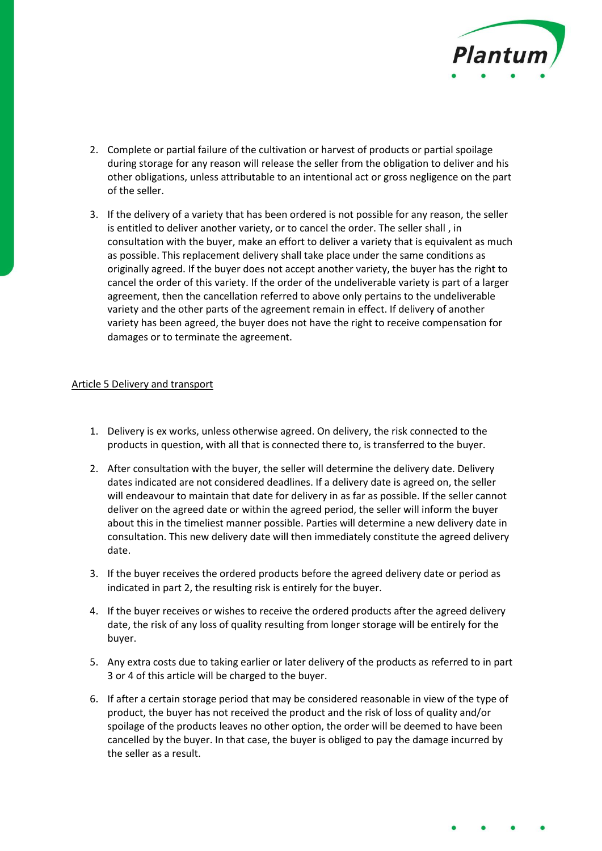

- 2. Complete or partial failure of the cultivation or harvest of products or partial spoilage during storage for any reason will release the seller from the obligation to deliver and his other obligations, unless attributable to an intentional act or gross negligence on the part of the seller.
- 3. If the delivery of a variety that has been ordered is not possible for any reason, the seller is entitled to deliver another variety, or to cancel the order. The seller shall , in consultation with the buyer, make an effort to deliver a variety that is equivalent as much as possible. This replacement delivery shall take place under the same conditions as originally agreed. If the buyer does not accept another variety, the buyer has the right to cancel the order of this variety. If the order of the undeliverable variety is part of a larger agreement, then the cancellation referred to above only pertains to the undeliverable variety and the other parts of the agreement remain in effect. If delivery of another variety has been agreed, the buyer does not have the right to receive compensation for damages or to terminate the agreement.

#### Article 5 Delivery and transport

- 1. Delivery is ex works, unless otherwise agreed. On delivery, the risk connected to the products in question, with all that is connected there to, is transferred to the buyer.
- 2. After consultation with the buyer, the seller will determine the delivery date. Delivery dates indicated are not considered deadlines. If a delivery date is agreed on, the seller will endeavour to maintain that date for delivery in as far as possible. If the seller cannot deliver on the agreed date or within the agreed period, the seller will inform the buyer about this in the timeliest manner possible. Parties will determine a new delivery date in consultation. This new delivery date will then immediately constitute the agreed delivery date.
- 3. If the buyer receives the ordered products before the agreed delivery date or period as indicated in part 2, the resulting risk is entirely for the buyer.
- 4. If the buyer receives or wishes to receive the ordered products after the agreed delivery date, the risk of any loss of quality resulting from longer storage will be entirely for the buyer.
- 5. Any extra costs due to taking earlier or later delivery of the products as referred to in part 3 or 4 of this article will be charged to the buyer.
- 6. If after a certain storage period that may be considered reasonable in view of the type of product, the buyer has not received the product and the risk of loss of quality and/or spoilage of the products leaves no other option, the order will be deemed to have been cancelled by the buyer. In that case, the buyer is obliged to pay the damage incurred by the seller as a result.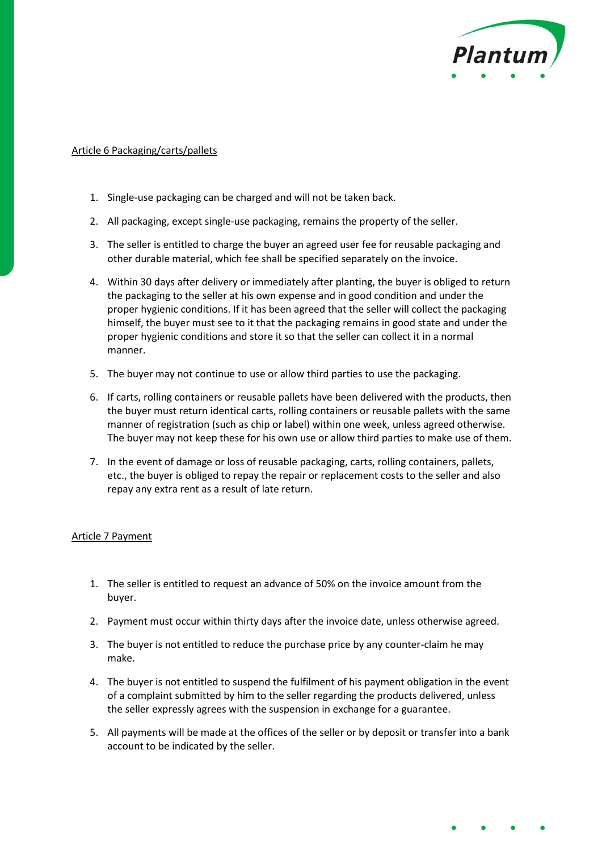

### Article 6 Packaging/carts/pallets

- 1. Single-use packaging can be charged and will not be taken back.
- 2. All packaging, except single-use packaging, remains the property of the seller.
- 3. The seller is entitled to charge the buyer an agreed user fee for reusable packaging and other durable material, which fee shall be specified separately on the invoice.
- 4. Within 30 days after delivery or immediately after planting, the buyer is obliged to return the packaging to the seller at his own expense and in good condition and under the proper hygienic conditions. If it has been agreed that the seller will collect the packaging himself, the buyer must see to it that the packaging remains in good state and under the proper hygienic conditions and store it so that the seller can collect it in a normal manner.
- 5. The buyer may not continue to use or allow third parties to use the packaging.
- 6. If carts, rolling containers or reusable pallets have been delivered with the products, then the buyer must return identical carts, rolling containers or reusable pallets with the same manner of registration (such as chip or label) within one week, unless agreed otherwise. The buyer may not keep these for his own use or allow third parties to make use of them.
- 7. In the event of damage or loss of reusable packaging, carts, rolling containers, pallets, etc., the buyer is obliged to repay the repair or replacement costs to the seller and also repay any extra rent as a result of late return.

#### Article 7 Payment

- 1. The seller is entitled to request an advance of 50% on the invoice amount from the buyer.
- 2. Payment must occur within thirty days after the invoice date, unless otherwise agreed.
- 3. The buyer is not entitled to reduce the purchase price by any counter-claim he may make.
- 4. The buyer is not entitled to suspend the fulfilment of his payment obligation in the event of a complaint submitted by him to the seller regarding the products delivered, unless the seller expressly agrees with the suspension in exchange for a guarantee.
- 5. All payments will be made at the offices of the seller or by deposit or transfer into a bank account to be indicated by the seller.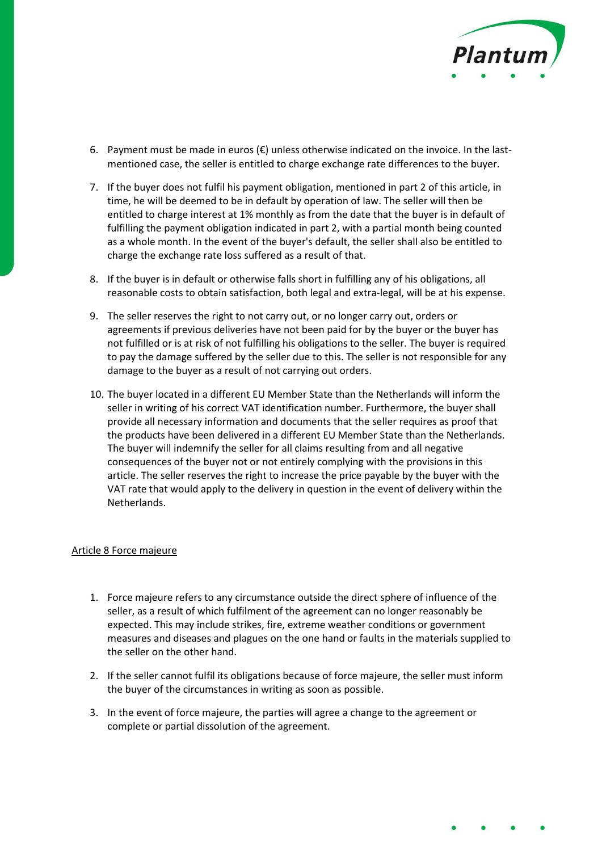

- 6. Payment must be made in euros  $(\epsilon)$  unless otherwise indicated on the invoice. In the lastmentioned case, the seller is entitled to charge exchange rate differences to the buyer.
- 7. If the buyer does not fulfil his payment obligation, mentioned in part 2 of this article, in time, he will be deemed to be in default by operation of law. The seller will then be entitled to charge interest at 1% monthly as from the date that the buyer is in default of fulfilling the payment obligation indicated in part 2, with a partial month being counted as a whole month. In the event of the buyer's default, the seller shall also be entitled to charge the exchange rate loss suffered as a result of that.
- 8. If the buyer is in default or otherwise falls short in fulfilling any of his obligations, all reasonable costs to obtain satisfaction, both legal and extra-legal, will be at his expense.
- 9. The seller reserves the right to not carry out, or no longer carry out, orders or agreements if previous deliveries have not been paid for by the buyer or the buyer has not fulfilled or is at risk of not fulfilling his obligations to the seller. The buyer is required to pay the damage suffered by the seller due to this. The seller is not responsible for any damage to the buyer as a result of not carrying out orders.
- 10. The buyer located in a different EU Member State than the Netherlands will inform the seller in writing of his correct VAT identification number. Furthermore, the buyer shall provide all necessary information and documents that the seller requires as proof that the products have been delivered in a different EU Member State than the Netherlands. The buyer will indemnify the seller for all claims resulting from and all negative consequences of the buyer not or not entirely complying with the provisions in this article. The seller reserves the right to increase the price payable by the buyer with the VAT rate that would apply to the delivery in question in the event of delivery within the Netherlands.

#### Article 8 Force majeure

- 1. Force majeure refers to any circumstance outside the direct sphere of influence of the seller, as a result of which fulfilment of the agreement can no longer reasonably be expected. This may include strikes, fire, extreme weather conditions or government measures and diseases and plagues on the one hand or faults in the materials supplied to the seller on the other hand.
- 2. If the seller cannot fulfil its obligations because of force majeure, the seller must inform the buyer of the circumstances in writing as soon as possible.
- 3. In the event of force majeure, the parties will agree a change to the agreement or complete or partial dissolution of the agreement.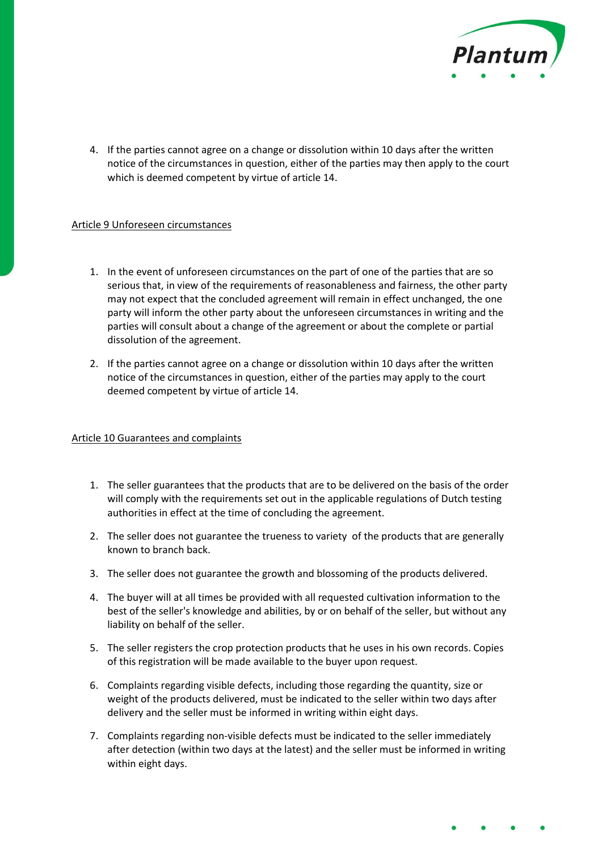

4. If the parties cannot agree on a change or dissolution within 10 days after the written notice of the circumstances in question, either of the parties may then apply to the court which is deemed competent by virtue of article 14.

## Article 9 Unforeseen circumstances

- 1. In the event of unforeseen circumstances on the part of one of the parties that are so serious that, in view of the requirements of reasonableness and fairness, the other party may not expect that the concluded agreement will remain in effect unchanged, the one party will inform the other party about the unforeseen circumstances in writing and the parties will consult about a change of the agreement or about the complete or partial dissolution of the agreement.
- 2. If the parties cannot agree on a change or dissolution within 10 days after the written notice of the circumstances in question, either of the parties may apply to the court deemed competent by virtue of article 14.

#### Article 10 Guarantees and complaints

- 1. The seller guarantees that the products that are to be delivered on the basis of the order will comply with the requirements set out in the applicable regulations of Dutch testing authorities in effect at the time of concluding the agreement.
- 2. The seller does not guarantee the trueness to variety of the products that are generally known to branch back.
- 3. The seller does not guarantee the growth and blossoming of the products delivered.
- 4. The buyer will at all times be provided with all requested cultivation information to the best of the seller's knowledge and abilities, by or on behalf of the seller, but without any liability on behalf of the seller.
- 5. The seller registers the crop protection products that he uses in his own records. Copies of this registration will be made available to the buyer upon request.
- 6. Complaints regarding visible defects, including those regarding the quantity, size or weight of the products delivered, must be indicated to the seller within two days after delivery and the seller must be informed in writing within eight days.
- 7. Complaints regarding non-visible defects must be indicated to the seller immediately after detection (within two days at the latest) and the seller must be informed in writing within eight days.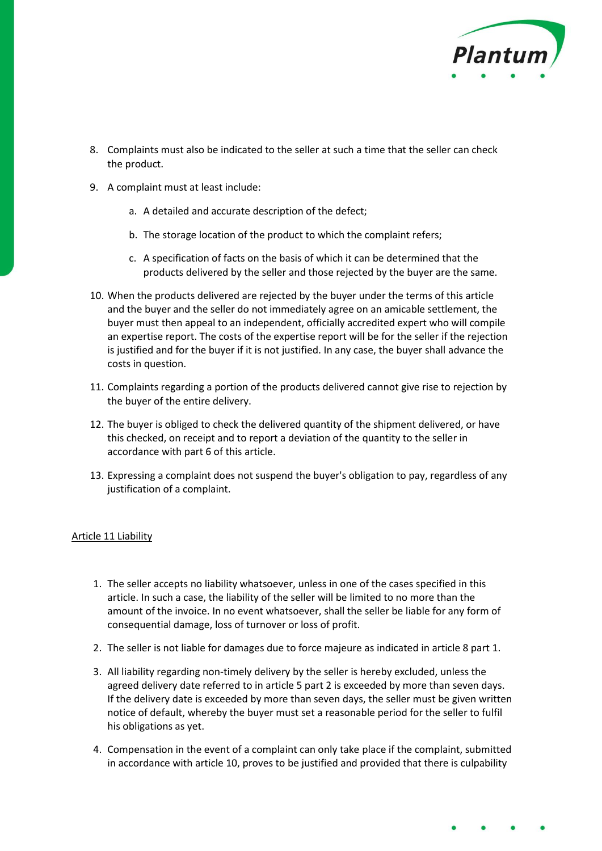

- 8. Complaints must also be indicated to the seller at such a time that the seller can check the product.
- 9. A complaint must at least include:
	- a. A detailed and accurate description of the defect;
	- b. The storage location of the product to which the complaint refers;
	- c. A specification of facts on the basis of which it can be determined that the products delivered by the seller and those rejected by the buyer are the same.
- 10. When the products delivered are rejected by the buyer under the terms of this article and the buyer and the seller do not immediately agree on an amicable settlement, the buyer must then appeal to an independent, officially accredited expert who will compile an expertise report. The costs of the expertise report will be for the seller if the rejection is justified and for the buyer if it is not justified. In any case, the buyer shall advance the costs in question.
- 11. Complaints regarding a portion of the products delivered cannot give rise to rejection by the buyer of the entire delivery.
- 12. The buyer is obliged to check the delivered quantity of the shipment delivered, or have this checked, on receipt and to report a deviation of the quantity to the seller in accordance with part 6 of this article.
- 13. Expressing a complaint does not suspend the buyer's obligation to pay, regardless of any justification of a complaint.

#### Article 11 Liability

- 1. The seller accepts no liability whatsoever, unless in one of the cases specified in this article. In such a case, the liability of the seller will be limited to no more than the amount of the invoice. In no event whatsoever, shall the seller be liable for any form of consequential damage, loss of turnover or loss of profit.
- 2. The seller is not liable for damages due to force majeure as indicated in article 8 part 1.
- 3. All liability regarding non-timely delivery by the seller is hereby excluded, unless the agreed delivery date referred to in article 5 part 2 is exceeded by more than seven days. If the delivery date is exceeded by more than seven days, the seller must be given written notice of default, whereby the buyer must set a reasonable period for the seller to fulfil his obligations as yet.
- 4. Compensation in the event of a complaint can only take place if the complaint, submitted in accordance with article 10, proves to be justified and provided that there is culpability

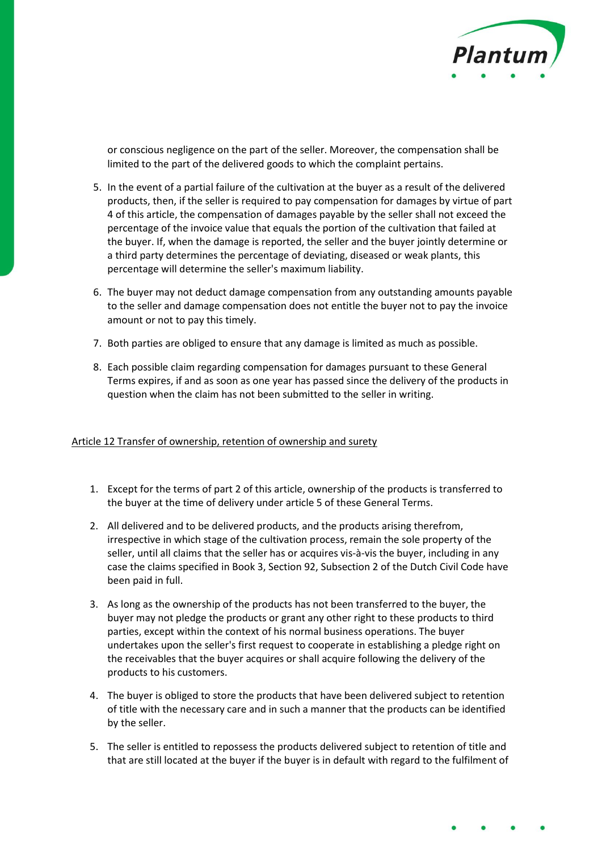

or conscious negligence on the part of the seller. Moreover, the compensation shall be limited to the part of the delivered goods to which the complaint pertains.

- 5. In the event of a partial failure of the cultivation at the buyer as a result of the delivered products, then, if the seller is required to pay compensation for damages by virtue of part 4 of this article, the compensation of damages payable by the seller shall not exceed the percentage of the invoice value that equals the portion of the cultivation that failed at the buyer. If, when the damage is reported, the seller and the buyer jointly determine or a third party determines the percentage of deviating, diseased or weak plants, this percentage will determine the seller's maximum liability.
- 6. The buyer may not deduct damage compensation from any outstanding amounts payable to the seller and damage compensation does not entitle the buyer not to pay the invoice amount or not to pay this timely.
- 7. Both parties are obliged to ensure that any damage is limited as much as possible.
- 8. Each possible claim regarding compensation for damages pursuant to these General Terms expires, if and as soon as one year has passed since the delivery of the products in question when the claim has not been submitted to the seller in writing.

#### Article 12 Transfer of ownership, retention of ownership and surety

- 1. Except for the terms of part 2 of this article, ownership of the products is transferred to the buyer at the time of delivery under article 5 of these General Terms.
- 2. All delivered and to be delivered products, and the products arising therefrom, irrespective in which stage of the cultivation process, remain the sole property of the seller, until all claims that the seller has or acquires vis-à-vis the buyer, including in any case the claims specified in Book 3, Section 92, Subsection 2 of the Dutch Civil Code have been paid in full.
- 3. As long as the ownership of the products has not been transferred to the buyer, the buyer may not pledge the products or grant any other right to these products to third parties, except within the context of his normal business operations. The buyer undertakes upon the seller's first request to cooperate in establishing a pledge right on the receivables that the buyer acquires or shall acquire following the delivery of the products to his customers.
- 4. The buyer is obliged to store the products that have been delivered subject to retention of title with the necessary care and in such a manner that the products can be identified by the seller.
- 5. The seller is entitled to repossess the products delivered subject to retention of title and that are still located at the buyer if the buyer is in default with regard to the fulfilment of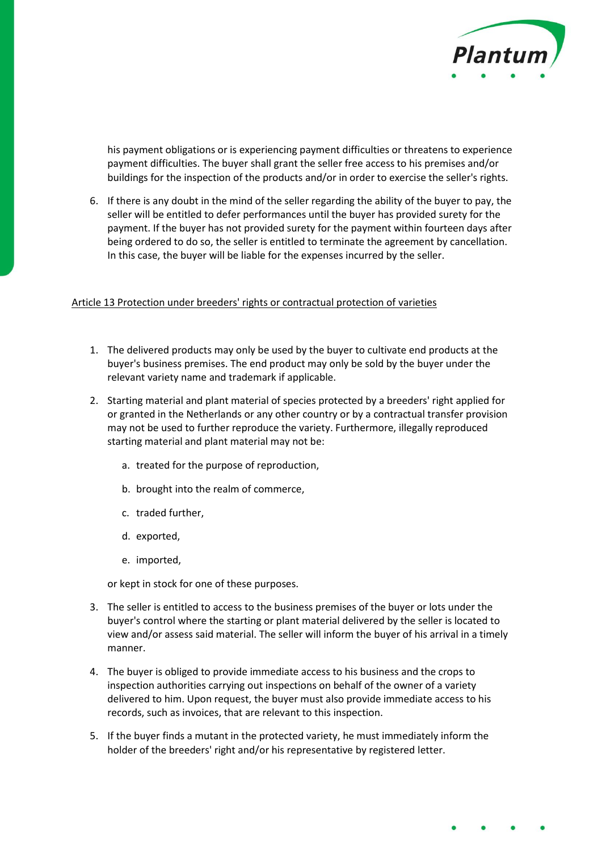

his payment obligations or is experiencing payment difficulties or threatens to experience payment difficulties. The buyer shall grant the seller free access to his premises and/or buildings for the inspection of the products and/or in order to exercise the seller's rights.

6. If there is any doubt in the mind of the seller regarding the ability of the buyer to pay, the seller will be entitled to defer performances until the buyer has provided surety for the payment. If the buyer has not provided surety for the payment within fourteen days after being ordered to do so, the seller is entitled to terminate the agreement by cancellation. In this case, the buyer will be liable for the expenses incurred by the seller.

#### Article 13 Protection under breeders' rights or contractual protection of varieties

- 1. The delivered products may only be used by the buyer to cultivate end products at the buyer's business premises. The end product may only be sold by the buyer under the relevant variety name and trademark if applicable.
- 2. Starting material and plant material of species protected by a breeders' right applied for or granted in the Netherlands or any other country or by a contractual transfer provision may not be used to further reproduce the variety. Furthermore, illegally reproduced starting material and plant material may not be:
	- a. treated for the purpose of reproduction,
	- b. brought into the realm of commerce,
	- c. traded further,
	- d. exported,
	- e. imported,

or kept in stock for one of these purposes.

- 3. The seller is entitled to access to the business premises of the buyer or lots under the buyer's control where the starting or plant material delivered by the seller is located to view and/or assess said material. The seller will inform the buyer of his arrival in a timely manner.
- 4. The buyer is obliged to provide immediate access to his business and the crops to inspection authorities carrying out inspections on behalf of the owner of a variety delivered to him. Upon request, the buyer must also provide immediate access to his records, such as invoices, that are relevant to this inspection.
- 5. If the buyer finds a mutant in the protected variety, he must immediately inform the holder of the breeders' right and/or his representative by registered letter.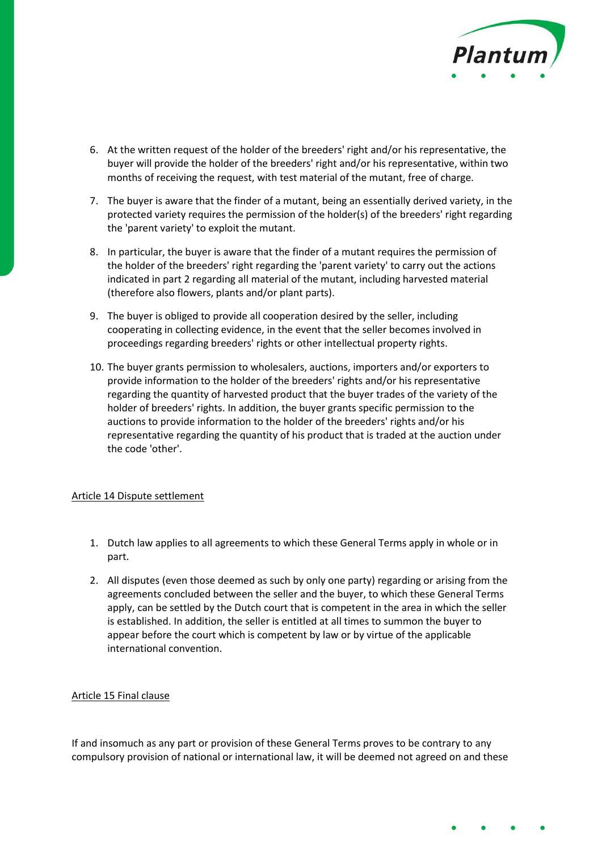

- 6. At the written request of the holder of the breeders' right and/or his representative, the buyer will provide the holder of the breeders' right and/or his representative, within two months of receiving the request, with test material of the mutant, free of charge.
- 7. The buyer is aware that the finder of a mutant, being an essentially derived variety, in the protected variety requires the permission of the holder(s) of the breeders' right regarding the 'parent variety' to exploit the mutant.
- 8. In particular, the buyer is aware that the finder of a mutant requires the permission of the holder of the breeders' right regarding the 'parent variety' to carry out the actions indicated in part 2 regarding all material of the mutant, including harvested material (therefore also flowers, plants and/or plant parts).
- 9. The buyer is obliged to provide all cooperation desired by the seller, including cooperating in collecting evidence, in the event that the seller becomes involved in proceedings regarding breeders' rights or other intellectual property rights.
- 10. The buyer grants permission to wholesalers, auctions, importers and/or exporters to provide information to the holder of the breeders' rights and/or his representative regarding the quantity of harvested product that the buyer trades of the variety of the holder of breeders' rights. In addition, the buyer grants specific permission to the auctions to provide information to the holder of the breeders' rights and/or his representative regarding the quantity of his product that is traded at the auction under the code 'other'.

#### Article 14 Dispute settlement

- 1. Dutch law applies to all agreements to which these General Terms apply in whole or in part.
- 2. All disputes (even those deemed as such by only one party) regarding or arising from the agreements concluded between the seller and the buyer, to which these General Terms apply, can be settled by the Dutch court that is competent in the area in which the seller is established. In addition, the seller is entitled at all times to summon the buyer to appear before the court which is competent by law or by virtue of the applicable international convention.

#### Article 15 Final clause

If and insomuch as any part or provision of these General Terms proves to be contrary to any compulsory provision of national or international law, it will be deemed not agreed on and these